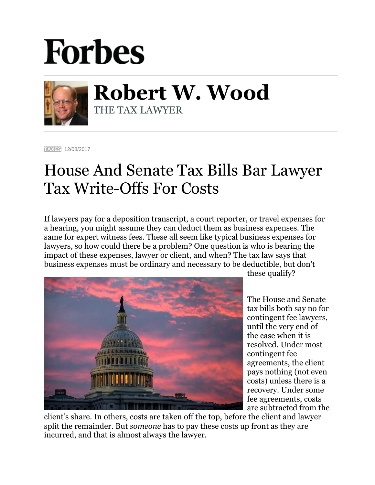## **Forbes**



**Robert W. Wood** THE TAX LAWYER

**[TAXES](https://www.forbes.com/taxes)** 12/08/2017

## House And Senate Tax Bills Bar Lawyer Tax Write-Offs For Costs

If lawyers pay for a deposition transcript, a court reporter, or travel expenses for a hearing, you might assume they can deduct them as business expenses. The same for expert witness fees. These all seem like typical business expenses for lawyers, so how could there be a problem? One question is who is bearing the impact of these expenses, lawyer or client, and when? The tax law says that business expenses must be ordinary and necessary to be deductible, but don't



these qualify?

The House and Senate tax bills both say no for contingent fee lawyers, until the very end of the case when it is resolved. Under most contingent fee agreements, the client pays nothing (not even costs) unless there is a recovery. Under some fee agreements, costs are subtracted from the

client's share. In others, costs are taken off the top, before the client and lawyer split the remainder. But *someone* has to pay these costs up front as they are incurred, and that is almost always the lawyer.